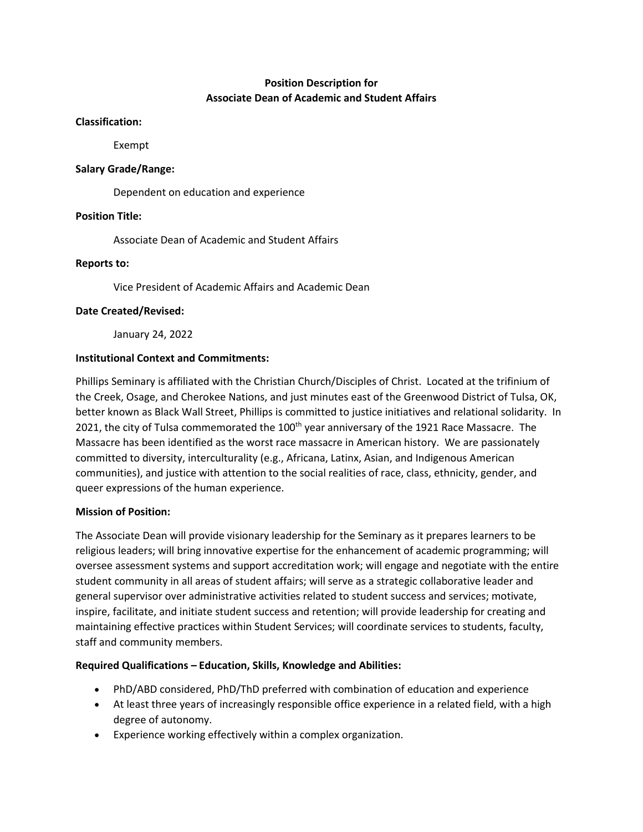# **Position Description for Associate Dean of Academic and Student Affairs**

#### **Classification:**

Exempt

### **Salary Grade/Range:**

Dependent on education and experience

## **Position Title:**

Associate Dean of Academic and Student Affairs

## **Reports to:**

Vice President of Academic Affairs and Academic Dean

## **Date Created/Revised:**

January 24, 2022

## **Institutional Context and Commitments:**

Phillips Seminary is affiliated with the Christian Church/Disciples of Christ. Located at the trifinium of the Creek, Osage, and Cherokee Nations, and just minutes east of the Greenwood District of Tulsa, OK, better known as Black Wall Street, Phillips is committed to justice initiatives and relational solidarity. In 2021, the city of Tulsa commemorated the 100<sup>th</sup> year anniversary of the 1921 Race Massacre. The Massacre has been identified as the worst race massacre in American history. We are passionately committed to diversity, interculturality (e.g., Africana, Latinx, Asian, and Indigenous American communities), and justice with attention to the social realities of race, class, ethnicity, gender, and queer expressions of the human experience.

#### **Mission of Position:**

The Associate Dean will provide visionary leadership for the Seminary as it prepares learners to be religious leaders; will bring innovative expertise for the enhancement of academic programming; will oversee assessment systems and support accreditation work; will engage and negotiate with the entire student community in all areas of student affairs; will serve as a strategic collaborative leader and general supervisor over administrative activities related to student success and services; motivate, inspire, facilitate, and initiate student success and retention; will provide leadership for creating and maintaining effective practices within Student Services; will coordinate services to students, faculty, staff and community members.

#### **Required Qualifications – Education, Skills, Knowledge and Abilities:**

- PhD/ABD considered, PhD/ThD preferred with combination of education and experience
- At least three years of increasingly responsible office experience in a related field, with a high degree of autonomy.
- Experience working effectively within a complex organization.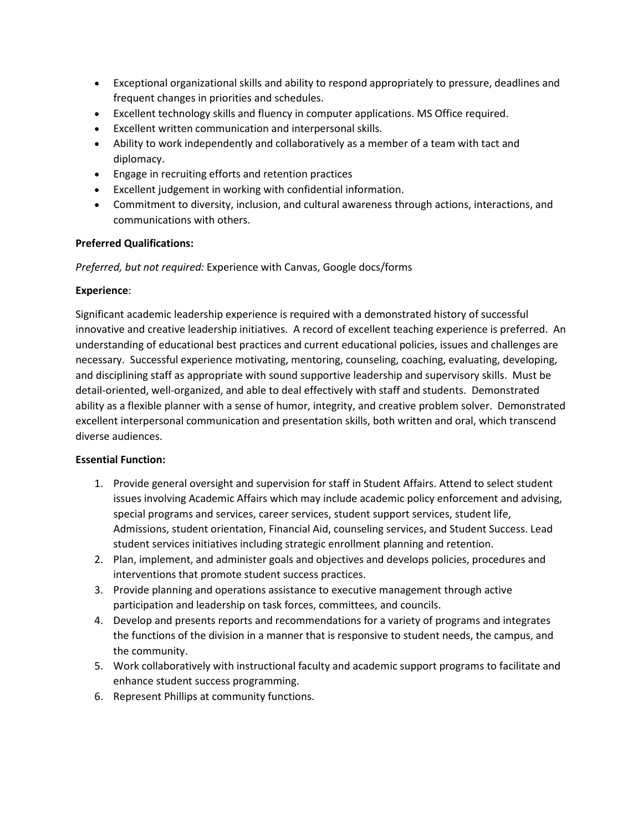- Exceptional organizational skills and ability to respond appropriately to pressure, deadlines and frequent changes in priorities and schedules.
- Excellent technology skills and fluency in computer applications. MS Office required.
- Excellent written communication and interpersonal skills.
- Ability to work independently and collaboratively as a member of a team with tact and diplomacy.
- Engage in recruiting efforts and retention practices
- Excellent judgement in working with confidential information.
- Commitment to diversity, inclusion, and cultural awareness through actions, interactions, and communications with others.

## **Preferred Qualifications:**

*Preferred, but not required:* Experience with Canvas, Google docs/forms

#### **Experience**:

Significant academic leadership experience is required with a demonstrated history of successful innovative and creative leadership initiatives. A record of excellent teaching experience is preferred. An understanding of educational best practices and current educational policies, issues and challenges are necessary. Successful experience motivating, mentoring, counseling, coaching, evaluating, developing, and disciplining staff as appropriate with sound supportive leadership and supervisory skills. Must be detail-oriented, well-organized, and able to deal effectively with staff and students. Demonstrated ability as a flexible planner with a sense of humor, integrity, and creative problem solver. Demonstrated excellent interpersonal communication and presentation skills, both written and oral, which transcend diverse audiences.

#### **Essential Function:**

- 1. Provide general oversight and supervision for staff in Student Affairs. Attend to select student issues involving Academic Affairs which may include academic policy enforcement and advising, special programs and services, career services, student support services, student life, Admissions, student orientation, Financial Aid, counseling services, and Student Success. Lead student services initiatives including strategic enrollment planning and retention.
- 2. Plan, implement, and administer goals and objectives and develops policies, procedures and interventions that promote student success practices.
- 3. Provide planning and operations assistance to executive management through active participation and leadership on task forces, committees, and councils.
- 4. Develop and presents reports and recommendations for a variety of programs and integrates the functions of the division in a manner that is responsive to student needs, the campus, and the community.
- 5. Work collaboratively with instructional faculty and academic support programs to facilitate and enhance student success programming.
- 6. Represent Phillips at community functions.